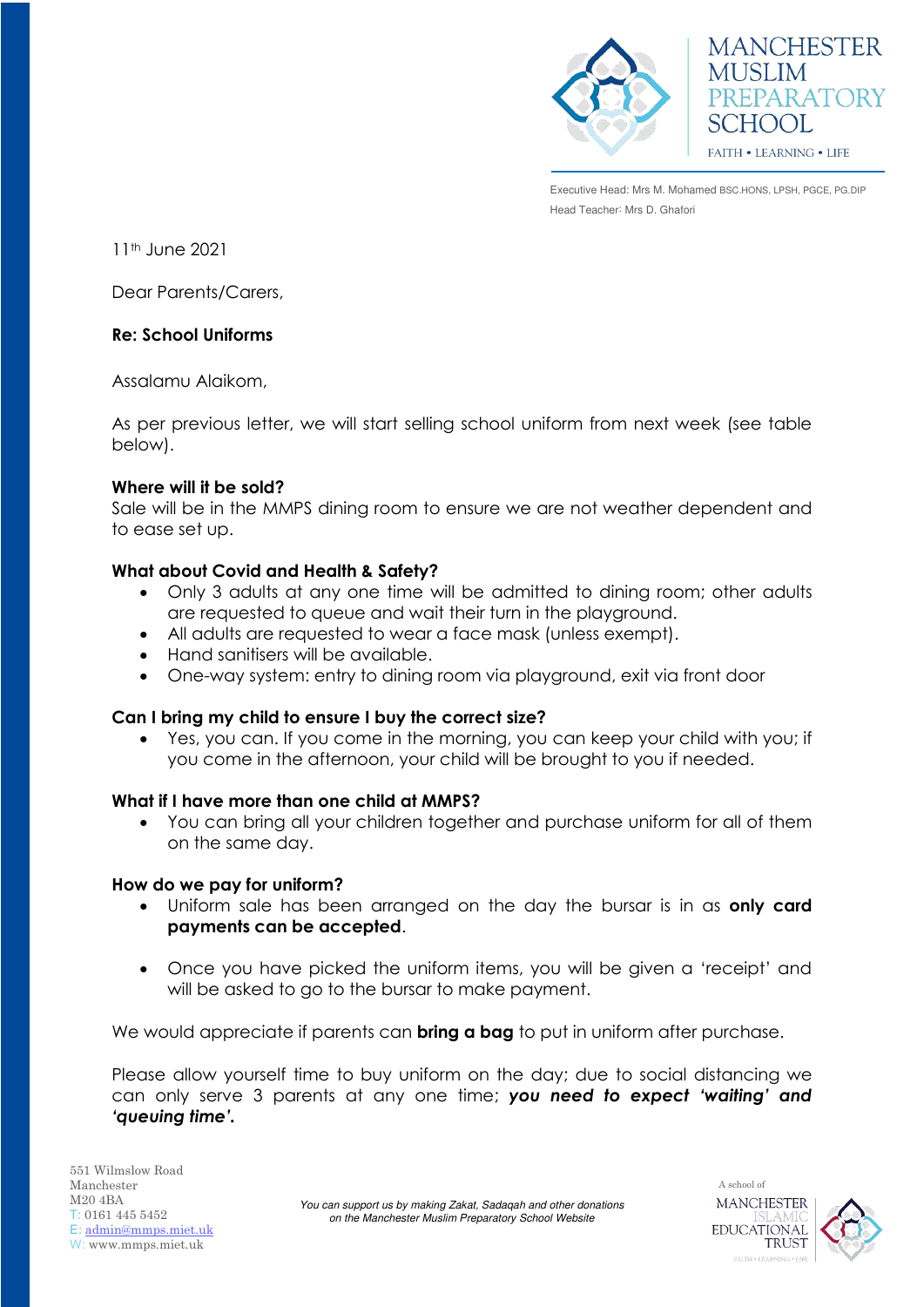



Executive Head: Mrs M. Mohamed BSC.HONS, LPSH, PGCE, PG.DIP Head Teacher: Mrs D. Ghafori

11th June 2021

Dear Parents/Carers,

## **Re: School Uniforms**

Assalamu Alaikom,

As per previous letter, we will start selling school uniform from next week (see table below).

## **Where will it be sold?**

Sale will be in the MMPS dining room to ensure we are not weather dependent and to ease set up.

# **What about Covid and Health & Safety?**

- Only 3 adults at any one time will be admitted to dining room; other adults are requested to queue and wait their turn in the playground.
- All adults are requested to wear a face mask (unless exempt).
- Hand sanitisers will be available.
- One-way system: entry to dining room via playground, exit via front door

#### **Can I bring my child to ensure I buy the correct size?**

 Yes, you can. If you come in the morning, you can keep your child with you; if you come in the afternoon, your child will be brought to you if needed.

#### **What if I have more than one child at MMPS?**

 You can bring all your children together and purchase uniform for all of them on the same day.

#### **How do we pay for uniform?**

- Uniform sale has been arranged on the day the bursar is in as **only card payments can be accepted**.
- Once you have picked the uniform items, you will be given a 'receipt' and will be asked to go to the bursar to make payment.

We would appreciate if parents can **bring a bag** to put in uniform after purchase.

Please allow yourself time to buy uniform on the day; due to social distancing we can only serve 3 parents at any one time; *you need to expect 'waiting' and 'queuing time'.*